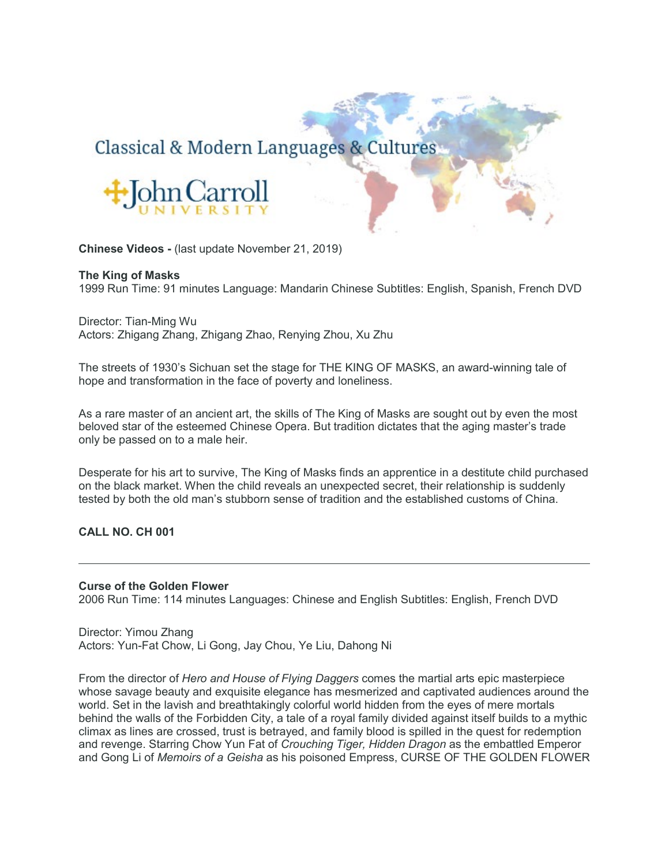# Classical & Modern Languages & Cultures



**Chinese Videos -** (last update November 21, 2019)

#### **The King of Masks**

1999 Run Time: 91 minutes Language: Mandarin Chinese Subtitles: English, Spanish, French DVD

Director: Tian-Ming Wu Actors: Zhigang Zhang, Zhigang Zhao, Renying Zhou, Xu Zhu

The streets of 1930's Sichuan set the stage for THE KING OF MASKS, an award-winning tale of hope and transformation in the face of poverty and loneliness.

As a rare master of an ancient art, the skills of The King of Masks are sought out by even the most beloved star of the esteemed Chinese Opera. But tradition dictates that the aging master's trade only be passed on to a male heir.

Desperate for his art to survive, The King of Masks finds an apprentice in a destitute child purchased on the black market. When the child reveals an unexpected secret, their relationship is suddenly tested by both the old man's stubborn sense of tradition and the established customs of China.

**CALL NO. CH 001**

#### **Curse of the Golden Flower**

2006 Run Time: 114 minutes Languages: Chinese and English Subtitles: English, French DVD

Director: Yimou Zhang Actors: Yun-Fat Chow, Li Gong, Jay Chou, Ye Liu, Dahong Ni

From the director of *Hero and House of Flying Daggers* comes the martial arts epic masterpiece whose savage beauty and exquisite elegance has mesmerized and captivated audiences around the world. Set in the lavish and breathtakingly colorful world hidden from the eyes of mere mortals behind the walls of the Forbidden City, a tale of a royal family divided against itself builds to a mythic climax as lines are crossed, trust is betrayed, and family blood is spilled in the quest for redemption and revenge. Starring Chow Yun Fat of *Crouching Tiger, Hidden Dragon* as the embattled Emperor and Gong Li of *Memoirs of a Geisha* as his poisoned Empress, CURSE OF THE GOLDEN FLOWER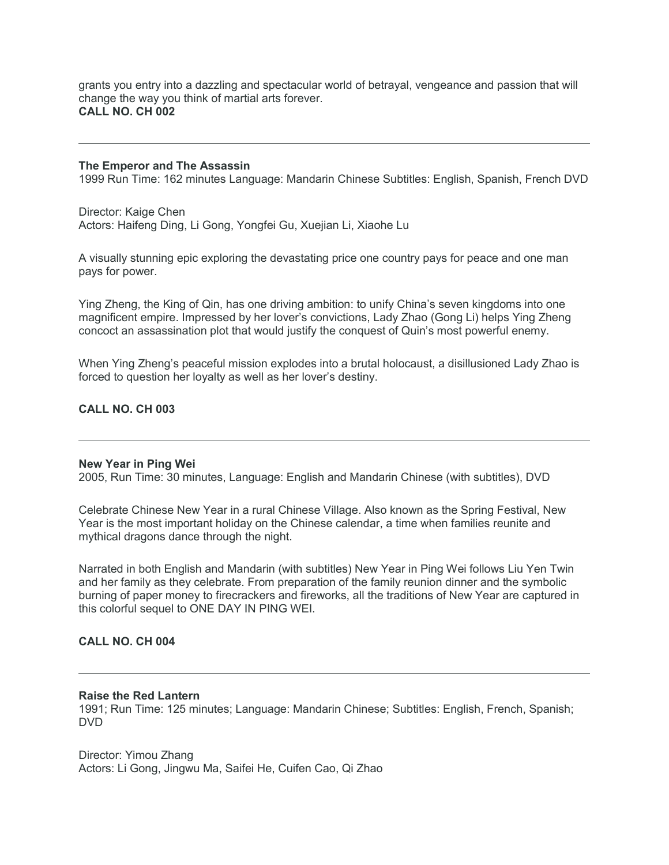grants you entry into a dazzling and spectacular world of betrayal, vengeance and passion that will change the way you think of martial arts forever. **CALL NO. CH 002**

#### **The Emperor and The Assassin**

1999 Run Time: 162 minutes Language: Mandarin Chinese Subtitles: English, Spanish, French DVD

Director: Kaige Chen Actors: Haifeng Ding, Li Gong, Yongfei Gu, Xuejian Li, Xiaohe Lu

A visually stunning epic exploring the devastating price one country pays for peace and one man pays for power.

Ying Zheng, the King of Qin, has one driving ambition: to unify China's seven kingdoms into one magnificent empire. Impressed by her lover's convictions, Lady Zhao (Gong Li) helps Ying Zheng concoct an assassination plot that would justify the conquest of Quin's most powerful enemy.

When Ying Zheng's peaceful mission explodes into a brutal holocaust, a disillusioned Lady Zhao is forced to question her loyalty as well as her lover's destiny.

#### **CALL NO. CH 003**

#### **New Year in Ping Wei**

2005, Run Time: 30 minutes, Language: English and Mandarin Chinese (with subtitles), DVD

Celebrate Chinese New Year in a rural Chinese Village. Also known as the Spring Festival, New Year is the most important holiday on the Chinese calendar, a time when families reunite and mythical dragons dance through the night.

Narrated in both English and Mandarin (with subtitles) New Year in Ping Wei follows Liu Yen Twin and her family as they celebrate. From preparation of the family reunion dinner and the symbolic burning of paper money to firecrackers and fireworks, all the traditions of New Year are captured in this colorful sequel to ONE DAY IN PING WEI.

#### **CALL NO. CH 004**

#### **Raise the Red Lantern**

1991; Run Time: 125 minutes; Language: Mandarin Chinese; Subtitles: English, French, Spanish; DVD

Director: Yimou Zhang Actors: Li Gong, Jingwu Ma, Saifei He, Cuifen Cao, Qi Zhao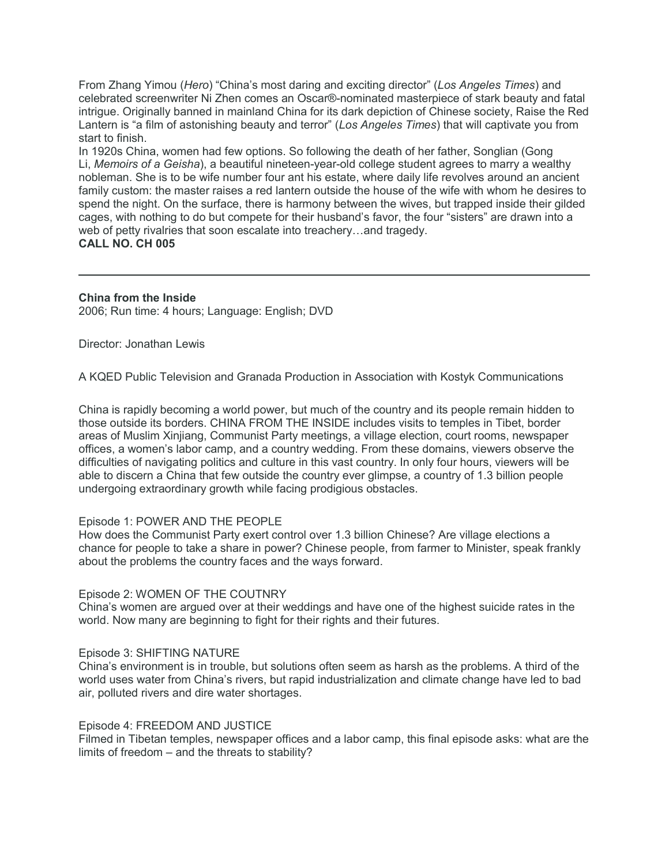From Zhang Yimou (*Hero*) "China's most daring and exciting director" (*Los Angeles Times*) and celebrated screenwriter Ni Zhen comes an Oscar®-nominated masterpiece of stark beauty and fatal intrigue. Originally banned in mainland China for its dark depiction of Chinese society, Raise the Red Lantern is "a film of astonishing beauty and terror" (*Los Angeles Times*) that will captivate you from start to finish.

In 1920s China, women had few options. So following the death of her father, Songlian (Gong Li, *Memoirs of a Geisha*), a beautiful nineteen-year-old college student agrees to marry a wealthy nobleman. She is to be wife number four ant his estate, where daily life revolves around an ancient family custom: the master raises a red lantern outside the house of the wife with whom he desires to spend the night. On the surface, there is harmony between the wives, but trapped inside their gilded cages, with nothing to do but compete for their husband's favor, the four "sisters" are drawn into a web of petty rivalries that soon escalate into treachery…and tragedy. **CALL NO. CH 005**

**China from the Inside** 2006; Run time: 4 hours; Language: English; DVD

Director: Jonathan Lewis

A KQED Public Television and Granada Production in Association with Kostyk Communications

China is rapidly becoming a world power, but much of the country and its people remain hidden to those outside its borders. CHINA FROM THE INSIDE includes visits to temples in Tibet, border areas of Muslim Xinjiang, Communist Party meetings, a village election, court rooms, newspaper offices, a women's labor camp, and a country wedding. From these domains, viewers observe the difficulties of navigating politics and culture in this vast country. In only four hours, viewers will be able to discern a China that few outside the country ever glimpse, a country of 1.3 billion people undergoing extraordinary growth while facing prodigious obstacles.

### Episode 1: POWER AND THE PEOPLE

How does the Communist Party exert control over 1.3 billion Chinese? Are village elections a chance for people to take a share in power? Chinese people, from farmer to Minister, speak frankly about the problems the country faces and the ways forward.

### Episode 2: WOMEN OF THE COUTNRY

China's women are argued over at their weddings and have one of the highest suicide rates in the world. Now many are beginning to fight for their rights and their futures.

### Episode 3: SHIFTING NATURE

China's environment is in trouble, but solutions often seem as harsh as the problems. A third of the world uses water from China's rivers, but rapid industrialization and climate change have led to bad air, polluted rivers and dire water shortages.

### Episode 4: FREEDOM AND JUSTICE

Filmed in Tibetan temples, newspaper offices and a labor camp, this final episode asks: what are the limits of freedom – and the threats to stability?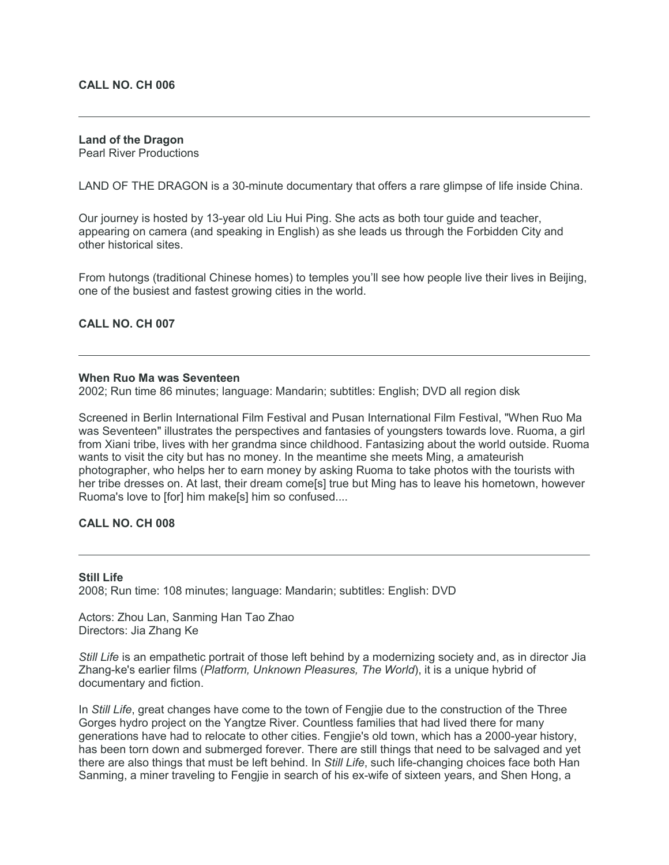#### **CALL NO. CH 006**

## **Land of the Dragon**

Pearl River Productions

LAND OF THE DRAGON is a 30-minute documentary that offers a rare glimpse of life inside China.

Our journey is hosted by 13-year old Liu Hui Ping. She acts as both tour guide and teacher, appearing on camera (and speaking in English) as she leads us through the Forbidden City and other historical sites.

From hutongs (traditional Chinese homes) to temples you'll see how people live their lives in Beijing, one of the busiest and fastest growing cities in the world.

#### **CALL NO. CH 007**

#### **When Ruo Ma was Seventeen**

2002; Run time 86 minutes; language: Mandarin; subtitles: English; DVD all region disk

Screened in Berlin International Film Festival and Pusan International Film Festival, "When Ruo Ma was Seventeen" illustrates the perspectives and fantasies of youngsters towards love. Ruoma, a girl from Xiani tribe, lives with her grandma since childhood. Fantasizing about the world outside. Ruoma wants to visit the city but has no money. In the meantime she meets Ming, a amateurish photographer, who helps her to earn money by asking Ruoma to take photos with the tourists with her tribe dresses on. At last, their dream come<sup>[5]</sup> true but Ming has to leave his hometown, however Ruoma's love to [for] him make[s] him so confused....

#### **CALL NO. CH 008**

#### **Still Life**

2008; Run time: 108 minutes; language: Mandarin; subtitles: English: DVD

Actors: Zhou Lan, Sanming Han Tao Zhao Directors: Jia Zhang Ke

*Still Life* is an empathetic portrait of those left behind by a modernizing society and, as in director Jia Zhang-ke's earlier films (*Platform, Unknown Pleasures, The World*), it is a unique hybrid of documentary and fiction.

In *Still Life*, great changes have come to the town of Fengjie due to the construction of the Three Gorges hydro project on the Yangtze River. Countless families that had lived there for many generations have had to relocate to other cities. Fengjie's old town, which has a 2000-year history, has been torn down and submerged forever. There are still things that need to be salvaged and yet there are also things that must be left behind. In *Still Life*, such life-changing choices face both Han Sanming, a miner traveling to Fengjie in search of his ex-wife of sixteen years, and Shen Hong, a